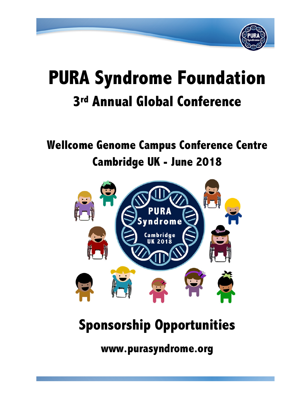

# **PURA Syndrome Foundation 3rd Annual Global Conference**

# **Wellcome Genome Campus Conference Centre Cambridge UK - June 2018**



# **Sponsorship Opportunities**

**www.purasyndrome.org**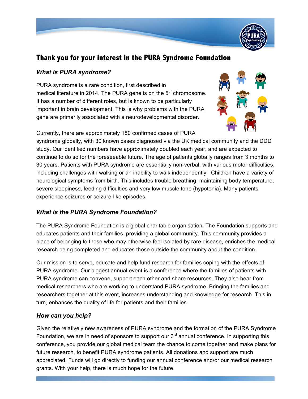

# **Thank you for your interest in the PURA Syndrome Foundation**

# *What is PURA syndrome?*

PURA syndrome is a rare condition, first described in medical literature in 2014. The PURA gene is on the  $5<sup>th</sup>$  chromosome. It has a number of different roles, but is known to be particularly important in brain development. This is why problems with the PURA gene are primarily associated with a neurodevelopmental disorder.



Currently, there are approximately 180 confirmed cases of PURA

syndrome globally, with 30 known cases diagnosed via the UK medical community and the DDD study. Our identified numbers have approximately doubled each year, and are expected to continue to do so for the foreseeable future. The age of patients globally ranges from 3 months to 30 years. Patients with PURA syndrome are essentially non-verbal, with various motor difficulties, including challenges with walking or an inability to walk independently. Children have a variety of neurological symptoms from birth. This includes trouble breathing, maintaining body temperature, severe sleepiness, feeding difficulties and very low muscle tone (hypotonia). Many patients experience seizures or seizure-like episodes.

# *What is the PURA Syndrome Foundation?*

The PURA Syndrome Foundation is a global charitable organisation. The Foundation supports and educates patients and their families, providing a global community. This community provides a place of belonging to those who may otherwise feel isolated by rare disease, enriches the medical research being completed and educates those outside the community about the condition.

Our mission is to serve, educate and help fund research for families coping with the effects of PURA syndrome. Our biggest annual event is a conference where the families of patients with PURA syndrome can convene, support each other and share resources. They also hear from medical researchers who are working to understand PURA syndrome. Bringing the families and researchers together at this event, increases understanding and knowledge for research. This in turn, enhances the quality of life for patients and their families.

# *How can you help?*

Given the relatively new awareness of PURA syndrome and the formation of the PURA Syndrome Foundation, we are in need of sponsors to support our  $3<sup>rd</sup>$  annual conference. In supporting this conference, you provide our global medical team the chance to come together and make plans for future research, to benefit PURA syndrome patients. All donations and support are much appreciated. Funds will go directly to funding our annual conference and/or our medical research grants. With your help, there is much hope for the future.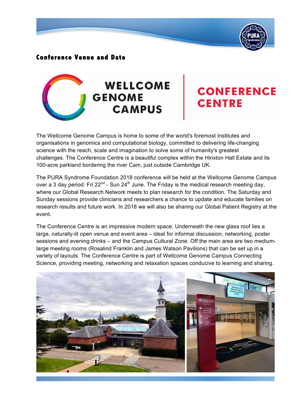

# **Conference Venue and Date**



# **CONFERENCE CENTRE**

The Wellcome Genome Campus is home to some of the world's foremost Institutes and organisations in genomics and computational biology, committed to delivering life-changing science with the reach, scale and imagination to solve some of humanity's greatest challenges. The Conference Centre is a beautiful complex within the Hinxton Hall Estate and its 100-acre parkland bordering the river Cam, just outside Cambridge UK.

The PURA Syndrome Foundation 2018 conference will be held at the Wellcome Genome Campus over a 3 day period: Fri 22<sup>nd</sup> - Sun 24<sup>th</sup> June. The Friday is the medical research meeting day, where our Global Research Network meets to plan research for the condition. The Saturday and Sunday sessions provide clinicians and researchers a chance to update and educate families on research results and future work. In 2018 we will also be sharing our Global Patient Registry at the event.

The Conference Centre is an impressive modern space. Underneath the new glass roof lies a large, naturally-lit open venue and event area – ideal for informal discussion, networking, poster sessions and evening drinks – and the Campus Cultural Zone. Off the main area are two mediumlarge meeting rooms (Rosalind Franklin and James Watson Pavilions) that can be set up in a variety of layouts. The Conference Centre is part of Wellcome Genome Campus Connecting Science, providing meeting, networking and relaxation spaces conducive to learning and sharing.

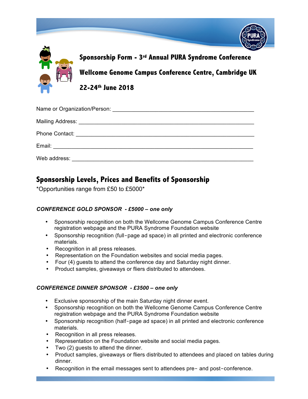

**22-24th June 2018**

| Web address: New York Changes and The Manuscript Changes and The Manuscript Changes and The Manuscript Changes and The Manuscript Changes and The Manuscript Changes and The Manuscript Changes and The Manuscript Changes and |
|--------------------------------------------------------------------------------------------------------------------------------------------------------------------------------------------------------------------------------|

# **Sponsorship Levels, Prices and Benefits of Sponsorship**

\*Opportunities range from £50 to £5000\*

# *CONFERENCE GOLD SPONSOR - £5000 – one only*

- Sponsorship recognition on both the Wellcome Genome Campus Conference Centre registration webpage and the PURA Syndrome Foundation website
- Sponsorship recognition (full-page ad space) in all printed and electronic conference materials.
- Recognition in all press releases.
- Representation on the Foundation websites and social media pages.
- Four (4) guests to attend the conference day and Saturday night dinner.
- Product samples, giveaways or fliers distributed to attendees.

# *CONFERENCE DINNER SPONSOR - £3500 – one only*

- Exclusive sponsorship of the main Saturday night dinner event.
- Sponsorship recognition on both the Wellcome Genome Campus Conference Centre registration webpage and the PURA Syndrome Foundation website
- Sponsorship recognition (half-page ad space) in all printed and electronic conference materials.
- Recognition in all press releases.
- Representation on the Foundation website and social media pages.
- Two (2) guests to attend the dinner.
- Product samples, giveaways or fliers distributed to attendees and placed on tables during dinner.
- Recognition in the email messages sent to attendees pre- and post-conference.